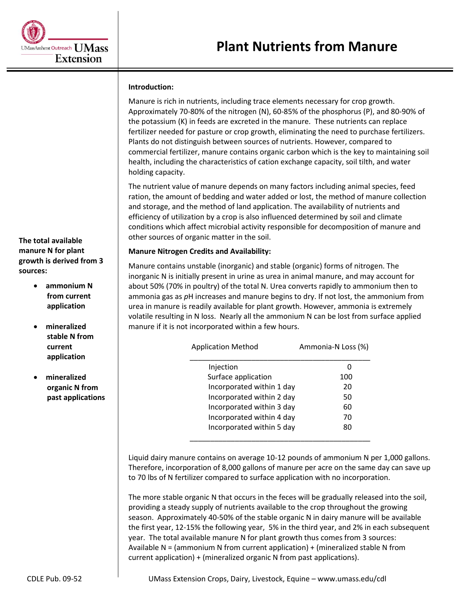### **Introduction:**

Manure is rich in nutrients, including trace elements necessary for crop growth. Approximately 70-80% of the nitrogen (N), 60-85% of the phosphorus (P), and 80-90% of the potassium (K) in feeds are excreted in the manure. These nutrients can replace fertilizer needed for pasture or crop growth, eliminating the need to purchase fertilizers. Plants do not distinguish between sources of nutrients. However, compared to commercial fertilizer, manure contains organic carbon which is the key to maintaining soil health, including the characteristics of cation exchange capacity, soil tilth, and water holding capacity.

The nutrient value of manure depends on many factors including animal species, feed ration, the amount of bedding and water added or lost, the method of manure collection and storage, and the method of land application. The availability of nutrients and efficiency of utilization by a crop is also influenced determined by soil and climate conditions which affect microbial activity responsible for decomposition of manure and other sources of organic matter in the soil.

#### **Manure Nitrogen Credits and Availability:**

Manure contains unstable (inorganic) and stable (organic) forms of nitrogen. The inorganic N is initially present in urine as urea in animal manure, and may account for about 50% (70% in poultry) of the total N. Urea converts rapidly to ammonium then to ammonia gas as *p*H increases and manure begins to dry. If not lost, the ammonium from urea in manure is readily available for plant growth. However, ammonia is extremely volatile resulting in N loss. Nearly all the ammonium N can be lost from surface applied manure if it is not incorporated within a few hours.

| <b>Application Method</b> | Ammonia-N Loss (%) |  |  |
|---------------------------|--------------------|--|--|
| Injection                 |                    |  |  |
| Surface application       | 100                |  |  |
| Incorporated within 1 day | 20                 |  |  |
| Incorporated within 2 day | 50                 |  |  |
| Incorporated within 3 day | 60                 |  |  |
| Incorporated within 4 day | 70                 |  |  |
| Incorporated within 5 day | 80                 |  |  |
|                           |                    |  |  |

Liquid dairy manure contains on average 10-12 pounds of ammonium N per 1,000 gallons. Therefore, incorporation of 8,000 gallons of manure per acre on the same day can save up to 70 lbs of N fertilizer compared to surface application with no incorporation.

The more stable organic N that occurs in the feces will be gradually released into the soil, providing a steady supply of nutrients available to the crop throughout the growing season. Approximately 40-50% of the stable organic N in dairy manure will be available the first year, 12-15% the following year, 5% in the third year, and 2% in each subsequent year. The total available manure N for plant growth thus comes from 3 sources: Available N = (ammonium N from current application) + (mineralized stable N from current application) + (mineralized organic N from past applications).

**The total available manure N for plant growth is derived from 3 sources:**

> **ammonium N from current application**

# **mineralized stable N from current application**

 **mineralized organic N from past applications**